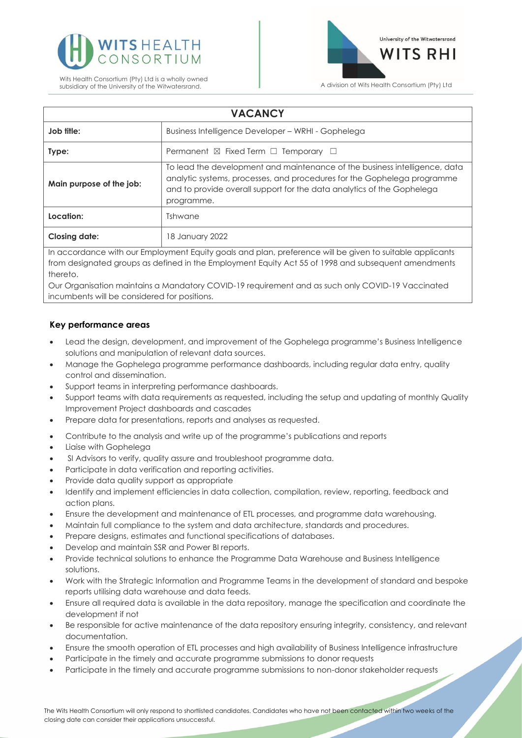



| <b>VACANCY</b>                                                                                           |                                                                                                                                                                                                                                               |
|----------------------------------------------------------------------------------------------------------|-----------------------------------------------------------------------------------------------------------------------------------------------------------------------------------------------------------------------------------------------|
| Job title:                                                                                               | Business Intelligence Developer – WRHI - Gophelega                                                                                                                                                                                            |
| Type:                                                                                                    | Permanent $\boxtimes$ Fixed Term $\Box$ Temporary $\Box$                                                                                                                                                                                      |
| Main purpose of the job:                                                                                 | To lead the development and maintenance of the business intelligence, data<br>analytic systems, processes, and procedures for the Gophelega programme<br>and to provide overall support for the data analytics of the Gophelega<br>programme. |
| Location:                                                                                                | Tshwane                                                                                                                                                                                                                                       |
| <b>Closing date:</b>                                                                                     | 18 January 2022                                                                                                                                                                                                                               |
| In accordance with our Employment Equity goals and plan, preference will be given to suitable applicants |                                                                                                                                                                                                                                               |

from designated groups as defined in the Employment Equity Act 55 of 1998 and subsequent amendments thereto.

Our Organisation maintains a Mandatory COVID-19 requirement and as such only COVID-19 Vaccinated incumbents will be considered for positions.

## **Key performance areas**

- Lead the design, development, and improvement of the Gophelega programme's Business Intelligence solutions and manipulation of relevant data sources.
- Manage the Gophelega programme performance dashboards, including regular data entry, quality control and dissemination.
- Support teams in interpreting performance dashboards.
- Support teams with data requirements as requested, including the setup and updating of monthly Quality Improvement Project dashboards and cascades
- Prepare data for presentations, reports and analyses as requested.
- Contribute to the analysis and write up of the programme's publications and reports
- Liaise with Gophelega
- SI Advisors to verify, quality assure and troubleshoot programme data.
- Participate in data verification and reporting activities.
- Provide data quality support as appropriate
- Identify and implement efficiencies in data collection, compilation, review, reporting, feedback and action plans.
- Ensure the development and maintenance of ETL processes, and programme data warehousing.
- Maintain full compliance to the system and data architecture, standards and procedures.
- Prepare designs, estimates and functional specifications of databases.
- Develop and maintain SSR and Power BI reports.
- Provide technical solutions to enhance the Programme Data Warehouse and Business Intelligence solutions.
- Work with the Strategic Information and Programme Teams in the development of standard and bespoke reports utilising data warehouse and data feeds.
- Ensure all required data is available in the data repository, manage the specification and coordinate the development if not
- Be responsible for active maintenance of the data repository ensuring integrity, consistency, and relevant documentation.
- Ensure the smooth operation of ETL processes and high availability of Business Intelligence infrastructure
- Participate in the timely and accurate programme submissions to donor requests
- Participate in the timely and accurate programme submissions to non-donor stakeholder requests